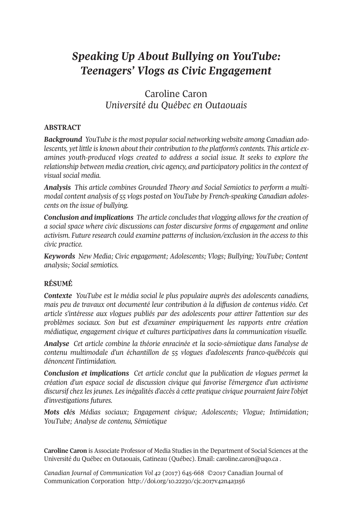# *Speaking Up About Bullying on YouTube: Teenagers' Vlogs as Civic Engagement*

Caroline Caron *Université du Québec en Outaouais*

### **ABSTRACT**

*Background YouTube isthe most popularsocial networking website among Canadian adolescents, yet little is known about their contribution to the platform's contents. This article examines youth-produced vlogs created to address a social issue. It seeks to explore the relationship between media creation, civic agency, and participatory politicsin the context of visual social media.*

*Analysis This article combines Grounded Theory and Social Semiotics to perform a multimodal content analysis of 55 vlogs posted on YouTube by French-speaking Canadian adolescents on the issue of bullying.*

*Conclusion and implications The article concludesthat vlogging allowsforthe creation of a social space where civic discussions can foster discursive forms of engagement and online activism. Future research could examine patterns of inclusion/exclusion in the access to this civic practice.*

*Keywords New Media; Civic engagement; Adolescents; Vlogs; Bullying; YouTube; Content analysis; Social semiotics.*

### **RÉSUMÉ**

*Contexte YouTube est le média social le plus populaire auprès des adolescents canadiens, mais peu de travaux ont documenté leur contribution à la diffusion de contenus vidéo. Cet article s'intéresse aux vlogues publiés par des adolescents pour attirer l'attention sur des problèmes sociaux. Son but est d'examiner empiriquement les rapports entre création médiatique, engagement civique et cultures participatives dans la communication visuelle.*

*Analyse Cet article combine la théorie enracinée et la socio-sémiotique dans l'analyse de contenu multimodale d'un échantillon de 55 vlogues d'adolescents franco-québécois qui dénoncent l'intimidation.*

*Conclusion et implications Cet article conclut que la publication de vlogues permet la création d'un espace social de discussion civique qui favorise l'émergence d'un activisme discursif chez les jeunes. Les inégalités d'accès à cette pratique civique pourraient faire l'objet d'investigations futures.*

*Mots clés Médias sociaux; Engagement civique; Adolescents; Vlogue; Intimidation; YouTube; Analyse de contenu, Sémiotique*

**Caroline Caron** is Associate Professor of Media Studies in the Department of Social Sciences at the Université du Québec en Outaouais, Gatineau (Québec). Email: [caroline.caron@uqo.ca](mailto:caroline.caron@uqo.ca) .

*Canadian Journal of [Communication](http://www.cjc-online.ca) Vol 42* (2017) 645-668 ©2017 Canadian Journal of Communication Corporation <http://doi.org/10.22230/cjc.2017v42n4a3156>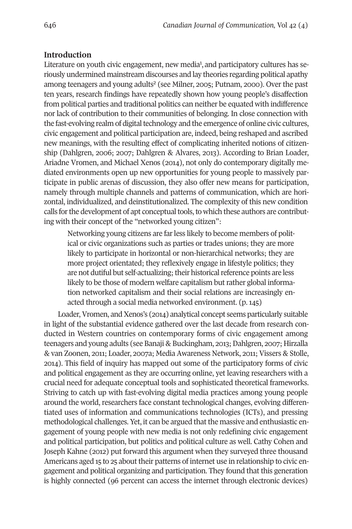### **Introduction**

Literature on youth civic engagement, new media<sup>1</sup>, and participatory cultures has seriously undermined mainstream di[sc](#page-19-0)ourses and lay theories regarding political apathy among teenagers and young adults<sup>2</sup> (see Milner, 2005; Putnam, 2000). Over the past ten years, research findings have repeatedly shown how young people's disaffection from political parties and traditional politics can neither be equated with indifference nor lack of contribution to their communities of belonging. In close connection with the fast-evolving realm of digital technology and the emergence of online civic cultures, civic engagement and political participation are, indeed, being reshaped and ascribed new meanings, with the resulting effect of complicating inherited notions of citizenship (Dahlgren, 2006; 2007; Dahlgren & Alvares, 2013). According to Brian Loader, Ariadne Vromen, and Michael Xenos (2014), not only do contemporary digitally mediated environments open up new opportunities for young people to massively participate in public arenas of discussion, they also offer new means for participation, namely through multiple channels and patterns of communication, which are horizontal, individualized, and deinstitutionalized. The complexity of this new condition calls for the development of apt conceptual tools, to which these authors are contributing with their concept of the "networked young citizen":

Networking young citizens are farless likely to become members of political or civic organizations such as parties or trades unions; they are more likely to participate in horizontal or non-hierarchical networks; they are more project orientated; they reflexively engage in lifestyle politics; they are not dutiful but self-actualizing; their historical reference points are less likely to be those of modern welfare capitalism but rather global information networked capitalism and their social relations are increasingly enacted through a social media networked environment. (p. 145)

Loader, Vromen, and Xenos's (2014) analytical concept seems particularly suitable in light of the substantial evidence gathered over the last decade from research conducted in Western countries on contemporary forms of civic engagement among teenagers and young adults (see Banaji & Buckingham, 2013; Dahlgren, 2007; Hirzalla & van Zoonen, 2011; Loader, 2007a; Media Awareness Network, 2011; Vissers & Stolle, 2014). This field of inquiry has mapped out some of the participatory forms of civic and political engagement as they are occurring online, yet leaving researchers with a crucial need for adequate conceptual tools and sophisticated theoretical frameworks. Striving to catch up with fast-evolving digital media practices among young people around the world, researchers face constant technological changes, evolving differentiated uses of information and communications technologies (ICTs), and pressing methodological challenges. Yet, it can be argued that the massive and enthusiastic engagement of young people with new media is not only redefining civic engagement and political participation, but politics and political culture as well. Cathy Cohen and Joseph Kahne (2012) put forward this argument when they surveyed three thousand Americans aged 15 to 25 about their patterns of internet use in relationship to civic engagement and political organizing and participation. They found that this generation is highly connected (96 percent can access the internet through electronic devices)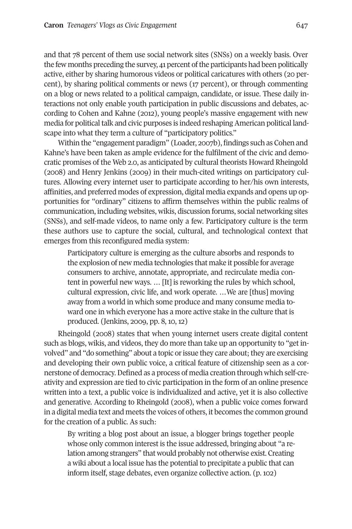and that 78 percent of them use social network sites (SNSs) on a weekly basis. Over the few months preceding the survey, 41 percent of the participants had been politically active, either by sharing humorous videos or political caricatures with others (20 percent), by sharing political comments or news (17 percent), or through commenting on a blog or news related to a political campaign, candidate, or issue. These daily interactions not only enable youth participation in public discussions and debates, according to Cohen and Kahne (2012), young people's massive engagement with new media for political talk and civic purposes is indeed reshaping American political landscape into what they term a culture of "participatory politics."

Within the "engagement paradigm" (Loader, 2007b), findings such as Cohen and Kahne's have been taken as ample evidence for the fulfilment of the civic and democratic promises of the Web 2.0, as anticipated by cultural theorists Howard Rheingold (2008) and Henry Jenkins (2009) in their much-cited writings on participatory cultures. Allowing every internet user to participate according to her/his own interests, affinities, and preferred modes of expression, digital media expands and opens up opportunities for "ordinary" citizens to affirm themselves within the public realms of communication, including websites, wikis, discussion forums, social networking sites (SNSs), and self-made videos, to name only a few. Participatory culture is the term these authors use to capture the social, cultural, and technological context that emerges from this reconfigured media system:

Participatory culture is emerging as the culture absorbs and responds to the explosion of new media technologies that make it possible for average consumers to archive, annotate, appropriate, and recirculate media content in powerful new ways. … [It] is reworking the rules by which school, cultural expression, civic life, and work operate. …We are [thus] moving away from a world in which some produce and many consume media toward one in which everyone has a more active stake in the culture that is produced. (Jenkins, 2009, pp. 8, 10, 12)

Rheingold (2008) states that when young internet users create digital content such as blogs, wikis, and videos, they do more than take up an opportunity to "get involved" and "do something" about a topic or issue they care about; they are exercising and developing their own public voice, a critical feature of citizenship seen as a cornerstone of democracy.Defined as a process of media creation through which self-creativity and expression are tied to civic participation in the form of an online presence written into a text, a public voice is individualized and active, yet it is also collective and generative. According to Rheingold (2008), when a public voice comes forward in a digital media text and meets the voices of others, it becomes the common ground for the creation of a public. As such:

By writing a blog post about an issue, a blogger brings together people whose only common interest is the issue addressed, bringing about "a relation among strangers" that would probably not otherwise exist. Creating a wiki about a local issue has the potential to precipitate a public that can inform itself, stage debates, even organize collective action. (p. 102)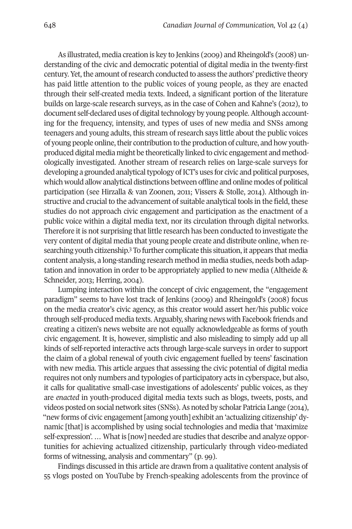As illustrated, media creation is key to Jenkins (2009) and Rheingold's (2008) understanding of the civic and democratic potential of digital media in the twenty-first century. Yet, the amount of research conducted to assess the authors' predictive theory has paid little attention to the public voices of young people, as they are enacted through their self-created media texts. Indeed, a significant portion of the literature builds on large-scale research surveys, as in the case of Cohen and Kahne's (2012), to document self-declared uses of digital technology by young people. Although accounting for the frequency, intensity, and types of uses of new media and SNSs among teenagers and young adults, this stream of research says little about the public voices of young people online, their contribution to the production of culture, and how youthproduced digital media might be theoretically linked to civic engagement and methodologically investigated. Another stream of research relies on large-scale surveys for developing a grounded analytical typology of ICT's uses for civic and political purposes, which would allow analytical distinctions between offline and online modes of political participation (see Hirzalla & van Zoonen, 2011; Vissers & Stolle, 2014). Although instructive and crucial to the advancement of suitable analytical tools in the field, these studies do not approach civic engagement and participation as the enactment of a public voice within a digital media text, nor its circulation through digital networks. Therefore it is not surprising that little research has been conducted to investigate the very content of digital med[ia](#page-19-2) that young people create and distribute online, when researching youth citizenship. <sup>3</sup> To further complicate this situation, it appears that media content analysis, a long-standing research method in media studies, needs both adaptation and innovation in order to be appropriately applied to new media (Altheide & Schneider, 2013; Herring, 2004).

Lumping interaction within the concept of civic engagement, the "engagement paradigm" seems to have lost track of Jenkins (2009) and Rheingold's (2008) focus on the media creator's civic agency, as this creator would assert her/his public voice through self-produced media texts.Arguably, sharing news with Facebook friends and creating a citizen's news website are not equally acknowledgeable as forms of youth civic engagement. It is, however, simplistic and also misleading to simply add up all kinds of self-reported interactive acts through large-scale surveys in order to support the claim of a global renewal of youth civic engagement fuelled by teens' fascination with new media. This article argues that assessing the civic potential of digital media requires not only numbers and typologies of participatory acts in cyberspace, but also, it calls for qualitative small-case investigations of adolescents' public voices, as they are *enacted* in youth-produced digital media texts such as blogs, tweets, posts, and videos posted on social network sites (SNSs).As noted by scholar Patricia Lange (2014), "new forms of civic engagement[among youth] exhibit an 'actualizing citizenship' dynamic [that] is accomplished by using social technologies and media that 'maximize self-expression'. … What is [now] needed are studies that describe and analyze opportunities for achieving actualized citizenship, particularly through video-mediated forms of witnessing, analysis and commentary" (p. 99).

Findings discussed in this article are drawn from a qualitative content analysis of 55 vlogs posted on YouTube by French-speaking adolescents from the province of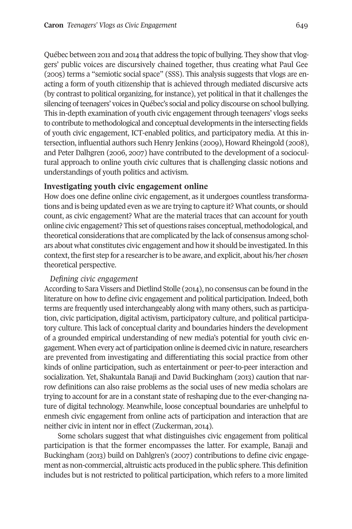Québec between 2011 and 2014 that address the topic of bullying. They show that vloggers' public voices are discursively chained together, thus creating what Paul Gee (2005) terms a "semiotic social space" (SSS). This analysis suggests that vlogs are enacting a form of youth citizenship that is achieved through mediated discursive acts (by contrast to political organizing, for instance), yet political in that it challenges the silencing of teenagers' voices in Québec's social and policy discourse on school bullying. This in-depth examination of youth civic engagement through teenagers' vlogs seeks to contribute to methodological and conceptual developments in the intersecting fields of youth civic engagement, ICT-enabled politics, and participatory media. At this intersection, influential authors such Henry Jenkins (2009), Howard Rheingold (2008), and Peter Dalhgren (2006, 2007) have contributed to the development of a sociocultural approach to online youth civic cultures that is challenging classic notions and understandings of youth politics and activism.

### **Investigating youth civic engagement online**

How does one define online civic engagement, as it undergoes countless transformations and is being updated even as we are trying to capture it? What counts, or should count, as civic engagement? What are the material traces that can account for youth online civic engagement? This set of questions raises conceptual, methodological, and theoretical considerations that are complicated by the lack of consensus among scholars about what constitutes civic engagement and how it should be investigated.In this context, the first step for a researcher is to be aware, and explicit, about his/her *chosen* theoretical perspective.

### *Defining civic engagement*

According to Sara Vissers and Dietlind Stolle (2014), no consensus can be found in the literature on how to define civic engagement and political participation. Indeed, both terms are frequently used interchangeably along with many others, such as participation, civic participation, digital activism, participatory culture, and political participatory culture. This lack of conceptual clarity and boundaries hinders the development of a grounded empirical understanding of new media's potential for youth civic engagement. When every act of participation online is deemed civic in nature, researchers are prevented from investigating and differentiating this social practice from other kinds of online participation, such as entertainment or peer-to-peer interaction and socialization. Yet, Shakuntala Banaji and David Buckingham (2013) caution that narrow definitions can also raise problems as the social uses of new media scholars are trying to account for are in a constant state of reshaping due to the ever-changing nature of digital technology. Meanwhile, loose conceptual boundaries are unhelpful to enmesh civic engagement from online acts of participation and interaction that are neither civic in intent nor in effect (Zuckerman, 2014).

Some scholars suggest that what distinguishes civic engagement from political participation is that the former encompasses the latter. For example, Banaji and Buckingham (2013) build on Dahlgren's (2007) contributions to define civic engagement as non-commercial, altruistic acts produced in the public sphere. This definition includes but is not restricted to political participation, which refers to a more limited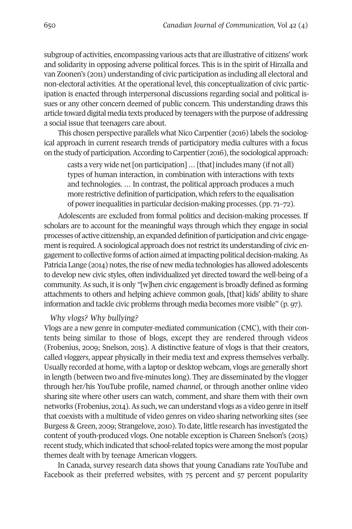subgroup of activities, encompassing various acts that are illustrative of citizens' work and solidarity in opposing adverse political forces. This is in the spirit of Hirzalla and van Zoonen's (2011) understanding of civic participation as including all electoral and non-electoral activities. At the operational level, this conceptualization of civic participation is enacted through interpersonal discussions regarding social and political issues or any other concern deemed of public concern. This understanding draws this article toward digital media texts produced by teenagers with the purpose of addressing a social issue that teenagers care about.

This chosen perspective parallels what Nico Carpentier (2016) labels the sociological approach in current research trends of participatory media cultures with a focus on the study of participation. According to Carpentier (2016), the sociological approach:

casts a very wide net [on participation] ... [that] includes many (if not all) types of human interaction, in combination with interactions with texts and technologies. … In contrast, the political approach produces a much more restrictive definition of participation, which refers to the equalisation of powerinequalities in particular decision-making processes. (pp. 71–72).

Adolescents are excluded from formal politics and decision-making processes. If scholars are to account for the meaningful ways through which they engage in social processes of active citizenship, an expanded definition of participation and civic engagement is required. A sociological approach does not restrict its understanding of civic engagementto collective forms of action aimed atimpacting political decision-making.As Patricia Lange (2014) notes, the rise of new media technologies has allowed adolescents to develop new civic styles, often individualized yet directed toward the well-being of a community. As such, it is only "[w]hen civic engagement is broadly defined as forming attachments to others and helping achieve common goals, [that] kids' ability to share information and tackle civic problems through media becomes more visible" (p. 97).

*Why vlogs? Why bullying?*

Vlogs are a new genre in computer-mediated communication (CMC), with their contents being similar to those of blogs, except they are rendered through videos (Frobenius, 2009; Snelson, 2015). A distinctive feature of vlogs is that their creators, called *vloggers*, appear physically in their media text and express themselves verbally. Usually recorded at home, with a laptop or desktop webcam, vlogs are generally short in length (between two and five-minutes long). They are disseminated by the vlogger through her/his YouTube profile, named *channel*, or through another online video sharing site where other users can watch, comment, and share them with their own networks (Frobenius, 2014).As such, we can understand vlogs as a video genre in itself that coexists with a multitude of video genres on video sharing networking sites (see Burgess & Green, 2009; Strangelove, 2010). To date, little research has investigated the content of youth-produced vlogs. One notable exception is Chareen Snelson's (2015) recent study, which indicated that school-related topics were among the most popular themes dealt with by teenage American vloggers.

In Canada, survey research data shows that young Canadians rate YouTube and Facebook as their preferred websites, with 75 percent and 57 percent popularity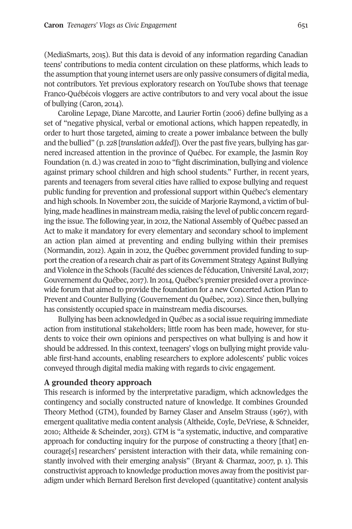(MediaSmarts, 2015). But this data is devoid of any information regarding Canadian teens' contributions to media content circulation on these platforms, which leads to the assumption that young internet users are only passive consumers of digital media, not contributors. Yet previous exploratory research on YouTube shows that teenage Franco-Québécois vloggers are active contributors to and very vocal about the issue of bullying (Caron, 2014).

Caroline Lepage, Diane Marcotte, and Laurier Fortin (2006) define bullying as a set of "negative physical, verbal or emotional actions, which happen repeatedly, in order to hurt those targeted, aiming to create a power imbalance between the bully and the bullied" (p. 228 [*translation added*]). Overthe past five years, bullying has garnered increased attention in the province of Québec. For example, the Jasmin Roy Foundation (n. d.) was created in 2010 to "fight discrimination, bullying and violence against primary school children and high school students." Further, in recent years, parents and teenagers from several cities have rallied to expose bullying and request public funding for prevention and professional support within Québec's elementary and high schools. In November 2011, the suicide of Marjorie Raymond, a victim of bullying, made headlines in mainstream media, raising the level of public concern regarding the issue. The following year, in 2012, the National Assembly of Québec passed an Act to make it mandatory for every elementary and secondary school to implement an action plan aimed at preventing and ending bullying within their premises (Normandin, 2012). Again in 2012, the Québec government provided funding to support the creation of a research chair as part of its Government Strategy Against Bullying and Violence in the Schools (Faculté des sciences de l'éducation, Université Laval, 2017; Gouvernement du Québec, 2017).In 2014, Québec's premier presided over a provincewide forum that aimed to provide the foundation for a new Concerted Action Plan to Prevent and Counter Bullying (Gouvernement du Québec, 2012). Since then, bullying has consistently occupied space in mainstream media discourses.

Bullying has been acknowledged in Québec as a social issue requiring immediate action from institutional stakeholders; little room has been made, however, for students to voice their own opinions and perspectives on what bullying is and how it should be addressed. In this context, teenagers' vlogs on bullying might provide valuable first-hand accounts, enabling researchers to explore adolescents' public voices conveyed through digital media making with regards to civic engagement.

#### **A grounded theory approach**

This research is informed by the interpretative paradigm, which acknowledges the contingency and socially constructed nature of knowledge. It combines Grounded Theory Method (GTM), founded by Barney Glaser and Anselm Strauss (1967), with emergent qualitative media content analysis (Altheide, Coyle, DeVriese, & Schneider, 2010; Altheide & Scheinder, 2013). GTM is "a systematic, inductive, and comparative approach for conducting inquiry for the purpose of constructing a theory [that] encourage[s] researchers' persistent interaction with their data, while remaining constantly involved with their emerging analysis" (Bryant & Charmaz, 2007, p. 1). This constructivist approach to knowledge production moves away from the positivist paradigm under which Bernard Berelson first developed (quantitative) content analysis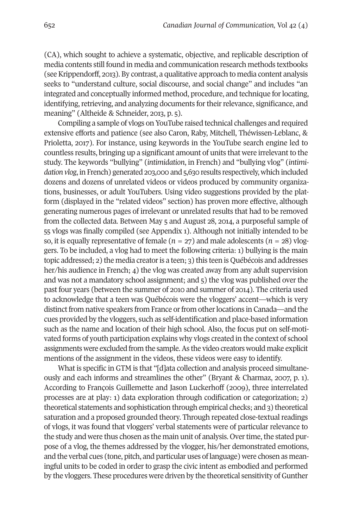(CA), which sought to achieve a systematic, objective, and replicable description of media contents still found in media and communication research methods textbooks (seeKrippendorff, 2013). By contrast, a qualitative approach to media content analysis seeks to "understand culture, social discourse, and social change" and includes "an integrated and conceptually informed method, procedure, and technique forlocating, identifying, retrieving, and analyzing documents for their relevance, significance, and meaning" (Altheide & Schneider, 2013, p. 5).

Compiling a sample of vlogs on YouTube raised technical challenges and required extensive efforts and patience (see also Caron, Raby, Mitchell, Théwissen-Leblanc, & Prioletta, 2017). For instance, using keywords in the YouTube search engine led to countless results, bringing up a significant amount of units that were irrelevant to the study. The keywords "bullying" (*intimidation*, in French) and "bullying vlog" (*intimidation vlog*, in French) generated 203,000 and 5,630 results respectively, which included dozens and dozens of unrelated videos or videos produced by community organizations, businesses, or adult YouTubers. Using video suggestions provided by the platform (displayed in the "related videos" section) has proven more effective, although generating numerous pages of irrelevant or unrelated results that had to be removed from the collected data. Between May 5 and August 28, 2014, a purposeful sample of 55 vlogs was finally compiled (see Appendix 1). Although not initially intended to be so, it is equally representative of female ( $n = 27$ ) and male adolescents ( $n = 28$ ) vloggers. To be included, a vlog had to meet the following criteria: 1) bullying is the main topic addressed; 2) the media creator is a teen; 3) this teen is Québécois and addresses her/his audience in French; 4) the vlog was created away from any adult supervision and was not a mandatory school assignment; and 5) the vlog was published over the past four years (between the summer of 2010 and summer of 2014). The criteria used to acknowledge that a teen was Québécois were the vloggers' accent—which is very distinct from native speakers from France or from other locations in Canada—and the cues provided by the vloggers, such as self-identification and place-based information such as the name and location of their high school. Also, the focus put on self-motivated forms of youth participation explains why vlogs created in the context of school assignments were excluded from the sample.As the video creators would make explicit mentions of the assignment in the videos, these videos were easy to identify.

What is specific in GTM is that "[d]ata collection and analysis proceed simultaneously and each informs and streamlines the other" (Bryant & Charmaz, 2007, p. 1). According to François Guillemette and Jason Luckerhoff (2009), three interrelated processes are at play: 1) data exploration through codification or categorization; 2) theoretical statements and sophistication through empirical checks; and 3) theoretical saturation and a proposed grounded theory. Through repeated close-textual readings of vlogs, it was found that vloggers' verbal statements were of particular relevance to the study and were thus chosen as the main unit of analysis. Over time, the stated purpose of a vlog, the themes addressed by the vlogger, his/her demonstrated emotions, and the verbal cues (tone, pitch, and particular uses of language) were chosen as meaningful units to be coded in order to grasp the civic intent as embodied and performed by the vloggers. These procedures were driven by the theoretical sensitivity of Gunther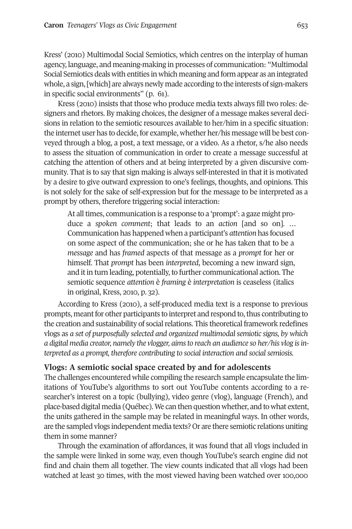Kress' (2010) Multimodal Social Semiotics, which centres on the interplay of human agency, language, and meaning-making in processes of communication: "Multimodal Social Semiotics deals with entities in which meaning and form appear as an integrated whole, a sign, [which] are always newly made according to the interests of sign-makers in specific social environments" (p. 61).

Kress (2010) insists that those who produce media texts always fill two roles: designers and rhetors. By making choices, the designer of a message makes several decisions in relation to the semiotic resources available to her/him in a specific situation: the internet user has to decide, for example, whether her/his message will be best conveyed through a blog, a post, a text message, or a video. As a rhetor, s/he also needs to assess the situation of communication in order to create a message successful at catching the attention of others and at being interpreted by a given discursive community. That is to say that sign making is always self-interested in that it is motivated by a desire to give outward expression to one's feelings, thoughts, and opinions. This is not solely for the sake of self-expression but for the message to be interpreted as a prompt by others, therefore triggering social interaction:

At all times, communication is a response to a 'prompt': a gaze might produce a *spoken comment*; that leads to an *action* [and so on]. … Communication has happened when a participant's *attention* has focused on some aspect of the communication; she or he has taken that to be a *message* and has *framed* aspects of that message as a *prompt* for her or himself. That *prompt* has been *interpreted*, becoming a new inward sign, and it in turn leading, potentially, to further communicational action. The semiotic sequence *attention* è *framing* è *interpretation* is ceaseless (italics in original, Kress, 2010, p. 32).

According to Kress (2010), a self-produced media text is a response to previous prompts, meant for other participants to interpret and respond to, thus contributing to the creation and sustainability of social relations. This theoretical framework redefines vlogs as *a set of purposefully selected and organized multimodal semiotic signs, by which a digital media creator, namely the vlogger, aimsto reach an audience so her/his vlog isinterpreted as a prompt, therefore contributing to social interaction and socialsemiosis.*

# **Vlogs: A semiotic social space created by and for adolescents**

The challenges encountered while compiling the research sample encapsulate the limitations of YouTube's algorithms to sort out YouTube contents according to a researcher's interest on a topic (bullying), video genre (vlog), language (French), and place-based digital media (Québec).We can then question whether, and to what extent, the units gathered in the sample may be related in meaningful ways. In other words, are the sampled vlogs independent media texts? Or are there semiotic relations uniting them in some manner?

Through the examination of affordances, it was found that all vlogs included in the sample were linked in some way, even though YouTube's search engine did not find and chain them all together. The view counts indicated that all vlogs had been watched at least 30 times, with the most viewed having been watched over 100,000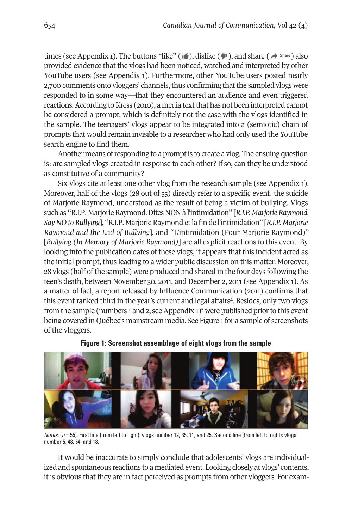times (see Appendix 1). The buttons "like" ( $\bullet$ ), dislike ( $\bullet$ ), and share ( $\bullet$ <sup>share</sup>) also provided evidence that the vlogs had been noticed, watched and interpreted by other YouTube users (see Appendix 1). Furthermore, other YouTube users posted nearly 2,700 comments onto vloggers' channels, thus confirming that the sampled vlogs were responded to in some way—that they encountered an audience and even triggered reactions. According to Kress (2010), a media text that has not been interpreted cannot be considered a prompt, which is definitely not the case with the vlogs identified in the sample. The teenagers' vlogs appear to be integrated into a (semiotic) chain of prompts that would remain invisible to a researcher who had only used the YouTube search engine to find them.

Another means of responding to a prompt is to create a vlog. The ensuing question is: are sampled vlogs created in response to each other? If so, can they be understood as constitutive of a community?

Six vlogs cite at least one other vlog from the research sample (see Appendix 1). Moreover, half of the vlogs (28 out of 55) directly refer to a specific event: the suicide of Marjorie Raymond, understood as the result of being a victim of bullying. Vlogs such as "R.I.P. Marjorie Raymond. Dites NON à l'intimidation" [R.I.P. *Marjorie Raymond. SayNO to Bullying*], "R.I.P. MarjorieRaymond etla fin de l'intimidation" [*R.I.P. Marjorie Raymond and the End of Bullying*], and "L'intimidation (Pour Marjorie Raymond)" [*Bullying (In Memory of Marjorie Raymond)*] are all explicit reactions to this event. By looking into the publication dates of these vlogs, it appears that this incident acted as the initial prompt, thus leading to a wider public discussion on this matter. Moreover, 28 vlogs (half of the sample) were produced and shared in the four days following the teen's death, between November 30, 2011, and December 2, 2011 (see Appendix 1). As a matter of fact, a report released by Influence Communication (2011) confirms that this event ranked third in the year's current and l[ega](#page-19-3)l affair[s4.](#page-19-4) Besides, only two vlogs from the sample (numbers 1 and 2, see Appendix 1)<sup>5</sup> were published prior to this event being covered in Québec's mainstream media. See Figure 1for a sample of screenshots of the vloggers.



**Figure 1: Screenshot assemblage of eight vlogs from the sample**

*Notes*: (*n* = 55). First line (from left to right): vlogs number 12, 35, 11, and 25. Second line (from left to right): vlogs number 5, 48, 54, and 18.

It would be inaccurate to simply conclude that adolescents' vlogs are individualized and spontaneous reactions to a mediated event. Looking closely at vlogs' contents, it is obvious that they are in fact perceived as prompts from other vloggers. For exam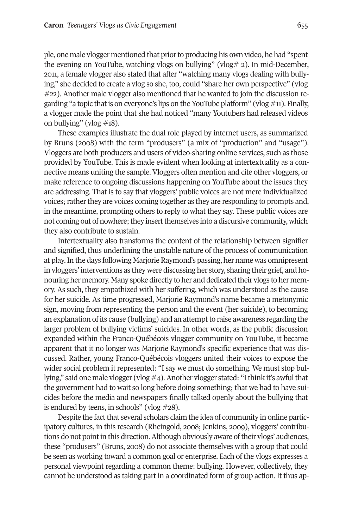ple, one male vlogger mentioned that priorto producing his own video, he had "spent the evening on YouTube, watching vlogs on bullying" (vlog# 2). In mid-December, 2011, a female vlogger also stated that after "watching many vlogs dealing with bullying," she decided to create a vlog so she, too, could "share her own perspective" (vlog #22). Another male vlogger also mentioned that he wanted to join the discussion regarding "a topic that is on everyone's lips on the YouTube platform" (vlog  $\#$ 11). Finally, a vlogger made the point that she had noticed "many Youtubers had released videos on bullying" (vlog  $\#18$ ).

These examples illustrate the dual role played by internet users, as summarized by Bruns (2008) with the term "produsers" (a mix of "production" and "usage"). Vloggers are both producers and users of video-sharing online services, such as those provided by YouTube. This is made evident when looking at intertextuality as a connective means uniting the sample. Vloggers often mention and cite other vloggers, or make reference to ongoing discussions happening on YouTube about the issues they are addressing. That is to say that vloggers' public voices are not mere individualized voices; rather they are voices coming together as they are responding to prompts and, in the meantime, prompting others to reply to what they say. These public voices are not coming out of nowhere; they insert themselves into a discursive community, which they also contribute to sustain.

Intertextuality also transforms the content of the relationship between signifier and signified, thus underlining the unstable nature of the process of communication at play.In the days following Marjorie Raymond's passing, her name was omnipresent in vloggers' interventions as they were discussing her story, sharing their grief, and honouring her memory. Many spoke directly to her and dedicated their vlogs to her memory. As such, they empathized with her suffering, which was understood as the cause for her suicide. As time progressed, Marjorie Raymond's name became a metonymic sign, moving from representing the person and the event (her suicide), to becoming an explanation of its cause (bullying) and an attempt to raise awareness regarding the larger problem of bullying victims' suicides. In other words, as the public discussion expanded within the Franco-Québécois vlogger community on YouTube, it became apparent that it no longer was Marjorie Raymond's specific experience that was discussed. Rather, young Franco-Québécois vloggers united their voices to expose the wider social problem it represented: "I say we must do something. We must stop bullying," said one male vlogger (vlog  $#4$ ). Another vlogger stated: "I think it's awful that the government had to wait so long before doing something; that we had to have suicides before the media and newspapers finally talked openly about the bullying that is endured by teens, in schools" (vlog  $\#28$ ).

Despite the fact that several scholars claim the idea of community in online participatory cultures, in this research (Rheingold, 2008; Jenkins, 2009), vloggers' contributions do not point in this direction. Although obviously aware of their vlogs' audiences, these "produsers" (Bruns, 2008) do not associate themselves with a group that could be seen as working toward a common goal or enterprise. Each of the vlogs expresses a personal viewpoint regarding a common theme: bullying. However, collectively, they cannot be understood as taking part in a coordinated form of group action. It thus ap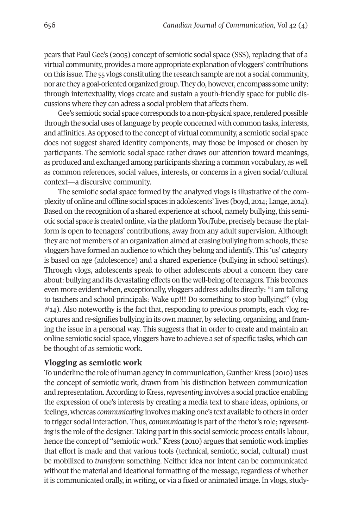pears that Paul Gee's (2005) concept of semiotic social space (SSS), replacing that of a virtual community, provides a more appropriate explanation of vloggers' contributions on this issue. The 55 vlogs constituting the research sample are not a social community, nor are they a goal-oriented organized group. They do, however, encompass some unity: through intertextuality, vlogs create and sustain a youth-friendly space for public discussions where they can adress a social problem that affects them.

Gee's semiotic social space corresponds to a non-physical space, rendered possible through the social uses of language by people concerned with common tasks, interests, and affinities.As opposed to the concept of virtual community, a semiotic social space does not suggest shared identity components, may those be imposed or chosen by participants. The semiotic social space rather draws our attention toward meanings, as produced and exchanged among participants sharing a common vocabulary, as well as common references, social values, interests, or concerns in a given social/cultural context—a discursive community.

The semiotic social space formed by the analyzed vlogs is illustrative of the complexity of online and offline social spaces in adolescents' lives (boyd, 2014; Lange, 2014). Based on the recognition of a shared experience at school, namely bullying, this semiotic social space is created online, via the platform YouTube, precisely because the platform is open to teenagers' contributions, away from any adult supervision. Although they are not members of an organization aimed at erasing bullying from schools, these vloggers have formed an audience to which they belong and identify. This 'us' category is based on age (adolescence) and a shared experience (bullying in school settings). Through vlogs, adolescents speak to other adolescents about a concern they care about: bullying and its devastating effects on the well-being ofteenagers. This becomes even more evident when, exceptionally, vloggers address adults directly: "I am talking to teachers and school principals: Wake up!!! Do something to stop bullying!" (vlog  $\#14$ ). Also noteworthy is the fact that, responding to previous prompts, each vlog recaptures and re-signifies bullying in its own manner, by selecting, organizing, and framing the issue in a personal way. This suggests that in order to create and maintain an online semiotic social space, vloggers have to achieve a set of specific tasks, which can be thought of as semiotic work.

### **Vlogging as semiotic work**

To underline the role of human agency in communication, Gunther Kress (2010) uses the concept of semiotic work, drawn from his distinction between communication and representation. According to Kress, *representing* involves a social practice enabling the expression of one's interests by creating a media text to share ideas, opinions, or feelings, whereas *communicating* involves making one's text available to others in order to trigger social interaction. Thus, *communicating* is part of the rhetor's role;*representing* is the role of the designer. Taking part in this social semiotic process entails labour, hence the concept of "semiotic work."Kress (2010) argues that semiotic work implies that effort is made and that various tools (technical, semiotic, social, cultural) must be mobilized to *transform* something. Neither idea nor intent can be communicated without the material and ideational formatting of the message, regardless of whether it is communicated orally, in writing, or via a fixed or animated image. In vlogs, study-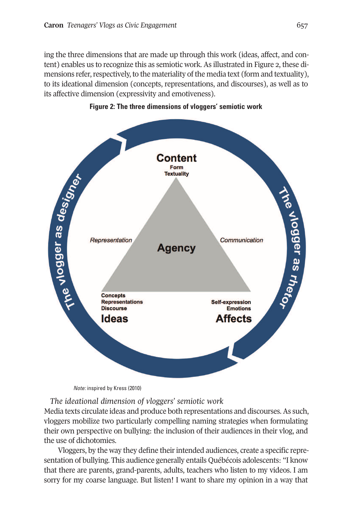ing the three dimensions that are made up through this work (ideas, affect, and content) enables us to recognize this as semiotic work. As illustrated in Figure 2, these dimensions refer, respectively, to the materiality of the media text (form and textuality), to its ideational dimension (concepts, representations, and discourses), as well as to its affective dimension (expressivity and emotiveness).



### **Figure 2: The three dimensions of vloggers' semiotic work**

*Note:* inspired by Kress (2010)

*The ideational dimension of vloggers' semiotic work*

Media texts circulate ideas and produce both representations and discourses. As such, vloggers mobilize two particularly compelling naming strategies when formulating their own perspective on bullying: the inclusion of their audiences in their vlog, and the use of dichotomies.

Vloggers, by the way they define their intended audiences, create a specific representation of bullying. This audience generally entails Québécois adolescents: "I know that there are parents, grand-parents, adults, teachers who listen to my videos. I am sorry for my coarse language. But listen! I want to share my opinion in a way that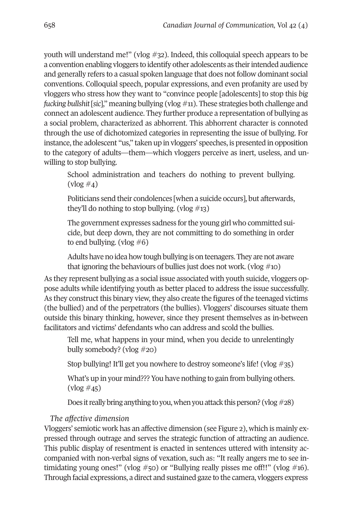youth will understand me!" (vlog #32). Indeed, this colloquial speech appears to be a convention enabling vloggers to identify other adolescents as their intended audience and generally refers to a casual spoken language that does not follow dominant social conventions. Colloquial speech, popular expressions, and even profanity are used by vloggers who stress how they want to "convince people [adolescents] to stop this *big fucking bullshit* [*sic*]," meaning bullying (vlog #11). These strategies both challenge and connect an adolescent audience. They further produce a representation of bullying as a social problem, characterized as abhorrent. This abhorrent character is connoted through the use of dichotomized categories in representing the issue of bullying. For instance, the adolescent "us," taken up in vloggers' speeches, is presented in opposition to the category of adults—them—which vloggers perceive as inert, useless, and unwilling to stop bullying.

School administration and teachers do nothing to prevent bullying.  $(\text{vlog }#_4)$ 

Politicians send their condolences [when a suicide occurs], but afterwards, they'll do nothing to stop bullying. (vlog  $\#$ 13)

The government expresses sadness for the young girl who committed suicide, but deep down, they are not committing to do something in order to end bullying. (vlog  $#6$ )

Adults have no idea how tough bullying is on teenagers. They are not aware that ignoring the behaviours of bullies just does not work. (vlog  $\#$ 10)

As they represent bullying as a social issue associated with youth suicide, vloggers oppose adults while identifying youth as better placed to address the issue successfully. As they construct this binary view, they also create the figures of the teenaged victims (the bullied) and of the perpetrators (the bullies). Vloggers' discourses situate them outside this binary thinking, however, since they present themselves as in-between facilitators and victims' defendants who can address and scold the bullies.

Tell me, what happens in your mind, when you decide to unrelentingly bully somebody? (vlog #20)

Stop bullying! It'll get you nowhere to destroy someone's life! (vlog #35)

What's up in your mind??? You have nothing to gain from bullying others.  $(vlog #45)$ 

Does it really bring anything to you, when you attack this person? (vlog  $\#28$ )

# *The affective dimension*

Vloggers' semiotic work has an affective dimension (see Figure 2), which is mainly expressed through outrage and serves the strategic function of attracting an audience. This public display of resentment is enacted in sentences uttered with intensity accompanied with non-verbal signs of vexation, such as: "It really angers me to see intimidating young ones!" (vlog  $\#$ 50) or "Bullying really pisses me off!!" (vlog  $\#$ 16). Through facial expressions, a direct and sustained gaze to the camera, vloggers express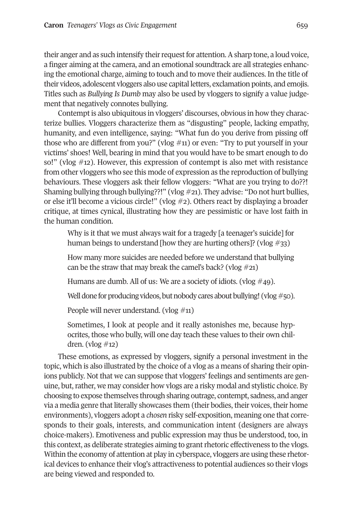their anger and as such intensify their request for attention. A sharp tone, a loud voice, a finger aiming at the camera, and an emotional soundtrack are all strategies enhancing the emotional charge, aiming to touch and to move their audiences. In the title of their videos, adolescent vloggers also use capital letters, exclamation points, and emojis. Titles such as *Bullying Is Dumb* may also be used by vloggers to signify a value judgement that negatively connotes bullying.

Contempt is also ubiquitous in vloggers' discourses, obvious in how they characterize bullies. Vloggers characterize them as "disgusting" people, lacking empathy, humanity, and even intelligence, saying: "What fun do you derive from pissing off those who are different from you?" (vlog  $\#$ 11) or even: "Try to put yourself in your victims' shoes! Well, bearing in mind that you would have to be smart enough to do so!" (vlog #12). However, this expression of contempt is also met with resistance from other vloggers who see this mode of expression as the reproduction of bullying behaviours. These vloggers ask their fellow vloggers: "What are you trying to do??! Shaming bullying through bullying??!" (vlog  $\#21$ ). They advise: "Do not hurt bullies, or else it'll become a vicious circle!" (vlog  $\#2$ ). Others react by displaying a broader critique, at times cynical, illustrating how they are pessimistic or have lost faith in the human condition.

Why is it that we must always wait for a tragedy [a teenager's suicide] for human beings to understand [how they are hurting others]? (vlog  $\#33$ )

How many more suicides are needed before we understand that bullying can be the straw that may break the camel's back? (vlog  $\#21$ )

Humans are dumb. All of us: We are a society of idiots. (vlog  $\#$ 49).

Well done for producing videos, but nobody cares about bullying! (vlog  $#$ 50).

People will never understand. (vlog #11)

Sometimes, I look at people and it really astonishes me, because hypocrites, those who bully, will one day teach these values to their own children.  $(vlog #12)$ 

These emotions, as expressed by vloggers, signify a personal investment in the topic, which is also illustrated by the choice of a vlog as a means of sharing their opinions publicly. Not that we can suppose that vloggers' feelings and sentiments are genuine, but, rather, we may consider how ylogs are a risky modal and stylistic choice. By choosing to expose themselves through sharing outrage, contempt, sadness, and anger via a media genre that literally showcases them (their bodies, their voices, their home environments), vloggers adopt a *chosen* risky self-exposition, meaning one that corresponds to their goals, interests, and communication intent (designers are always choice-makers). Emotiveness and public expression may thus be understood, too, in this context, as deliberate strategies aiming to grant rhetoric effectiveness to the vlogs. Within the economy of attention at play in cyberspace, vloggers are using these rhetorical devices to enhance their vlog's attractiveness to potential audiences so their vlogs are being viewed and responded to.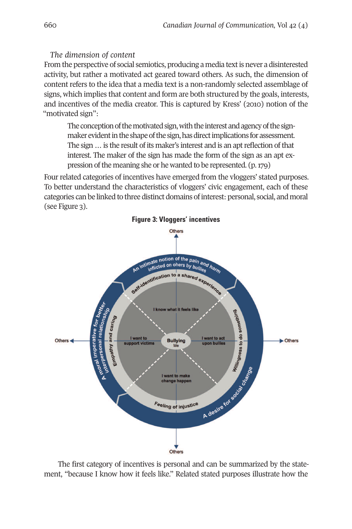# *The dimension of content*

From the perspective of social semiotics, producing a media textis never a disinterested activity, but rather a motivated act geared toward others. As such, the dimension of content refers to the idea that a media text is a non-randomly selected assemblage of signs, which implies that content and form are both structured by the goals, interests, and incentives of the media creator. This is captured by Kress' (2010) notion of the "motivated sign":

The conception of the motivated sign, with the interest and agency of the signmaker evident in the shape of the sign, has direct implications for assessment. The sign ... is the result of its maker's interest and is an apt reflection of that interest. The maker of the sign has made the form of the sign as an apt expression of the meaning she or he wanted to be represented. (p. 179)

Four related categories of incentives have emerged from the vloggers' stated purposes. To better understand the characteristics of vloggers' civic engagement, each of these categories can be linked to three distinct domains ofinterest: personal, social, and moral (see Figure 3).



The first category of incentives is personal and can be summarized by the statement, "because I know how it feels like." Related stated purposes illustrate how the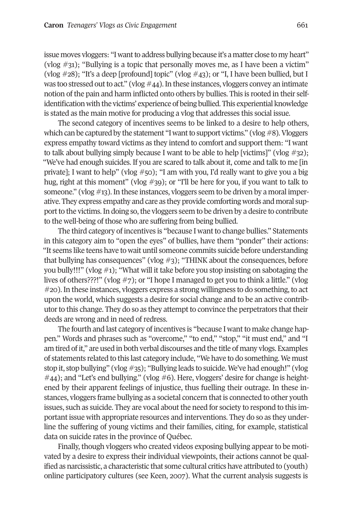issue moves vloggers: "I want to address bullying because it's a matter close to my heart" (vlog  $\#31$ ); "Bullying is a topic that personally moves me, as I have been a victim" (vlog  $\#28$ ); "It's a deep [profound] topic" (vlog  $\#43$ ); or "I, I have been bullied, but I was too stressed out to act." (vlog  $\#44$ ). In these instances, vloggers convey an intimate notion of the pain and harm inflicted onto others by bullies. This is rooted in their selfidentification with the victims' experience of being bullied. This experiential knowledge is stated as the main motive for producing a vlog that addresses this social issue.

The second category of incentives seems to be linked to a desire to help others, which can be captured by the statement "I want to support victims." (vlog  $#8$ ). Vloggers express empathy toward victims as they intend to comfort and support them: "I want to talk about bullying simply because I want to be able to help [victims]" (vlog  $\#$ 32); "We've had enough suicides. If you are scared to talk about it, come and talk to me [in private]; I want to help" (vlog #50); "I am with you, I'd really want to give you a big hug, right at this moment" (vlog #39); or "I'll be here for you, if you want to talk to someone." (vlog  $\#$ 13). In these instances, vloggers seem to be driven by a moral imperative. They express empathy and care as they provide comforting words and moral support to the victims. In doing so, the vloggers seem to be driven by a desire to contribute to the well-being of those who are suffering from being bullied.

The third category of incentives is "because I want to change bullies." Statements in this category aim to "open the eyes" of bullies, have them "ponder" their actions: "It seems like teens have to wait until someone commits suicide before understanding that bullying has consequences" (vlog #3); "THINK about the consequences, before you bully!!!" (vlog  $\#1$ ); "What will it take before you stop insisting on sabotaging the lives of others???!" (vlog #7); or "I hope I managed to get you to think a little." (vlog #20). In these instances, vloggers express a strong willingness to do something,to act upon the world, which suggests a desire for social change and to be an active contributor to this change. They do so as they attempt to convince the perpetrators that their deeds are wrong and in need of redress.

The fourth and last category of incentives is "because I want to make change happen." Words and phrases such as "overcome," "to end," "stop," "it must end," and "I am tired of it," are used in both verbal discourses and the title of many vlogs. Examples of statements related to this last category include, "We have to do something. We must stop it, stop bullying" (vlog #35); "Bullying leads to suicide. We've had enough!" (vlog  $\#44$ ); and "Let's end bullying." (vlog  $\#6$ ). Here, vloggers' desire for change is heightened by their apparent feelings of injustice, thus fuelling their outrage. In these instances, vloggers frame bullying as a societal concern thatis connected to other youth issues, such as suicide. They are vocal about the need for society to respond to this important issue with appropriate resources and interventions. They do so as they underline the suffering of young victims and their families, citing, for example, statistical data on suicide rates in the province of Québec.

Finally, though vloggers who created videos exposing bullying appear to be motivated by a desire to express their individual viewpoints, their actions cannot be qualified as narcissistic, a characteristic that some cultural critics have attributed to (youth) online participatory cultures (see Keen, 2007). What the current analysis suggests is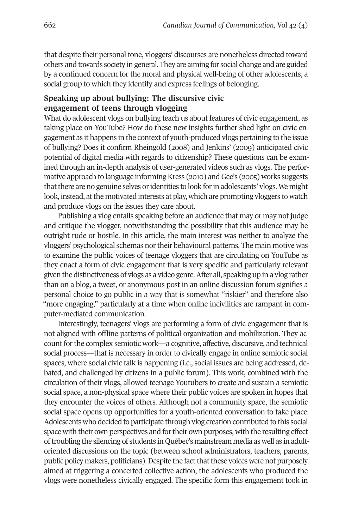that despite their personal tone, vloggers' discourses are nonetheless directed toward others and towards society in general. They are aiming for social change and are guided by a continued concern for the moral and physical well-being of other adolescents, a social group to which they identify and express feelings of belonging.

### **Speaking up about bullying: The discursive civic engagement of teens through vlogging**

What do adolescent vlogs on bullying teach us about features of civic engagement, as taking place on YouTube? How do these new insights further shed light on civic engagement as it happens in the context of youth-produced vlogs pertaining to the issue of bullying? Does it confirm Rheingold (2008) and Jenkins' (2009) anticipated civic potential of digital media with regards to citizenship? These questions can be examined through an in-depth analysis of user-generated videos such as vlogs. The performative approach to language informing Kress (2010) and Gee's (2005) works suggests that there are no genuine selves or identities to look for in adolescents' vlogs. We might look, instead, at the motivated interests at play, which are prompting vloggers to watch and produce vlogs on the issues they care about.

Publishing a vlog entails speaking before an audience that may or may not judge and critique the vlogger, notwithstanding the possibility that this audience may be outright rude or hostile. In this article, the main interest was neither to analyze the vloggers' psychological schemas northeir behavioural patterns. The main motive was to examine the public voices of teenage vloggers that are circulating on YouTube as they enact a form of civic engagement that is very specific and particularly relevant given the distinctiveness of vlogs as a video genre.After all, speaking up in a vlog rather than on a blog, a tweet, or anonymous post in an online discussion forum signifies a personal choice to go public in a way that is somewhat "riskier" and therefore also "more engaging," particularly at a time when online incivilities are rampant in computer-mediated communication.

Interestingly, teenagers' vlogs are performing a form of civic engagement that is not aligned with offline patterns of political organization and mobilization. They account forthe complex semiotic work—a cognitive, affective, discursive, and technical social process—that is necessary in order to civically engage in online semiotic social spaces, where social civic talk is happening (i.e., social issues are being addressed, debated, and challenged by citizens in a public forum). This work, combined with the circulation of their vlogs, allowed teenage Youtubers to create and sustain a semiotic social space, a non-physical space where their public voices are spoken in hopes that they encounter the voices of others. Although not a community space, the semiotic social space opens up opportunities for a youth-oriented conversation to take place. Adolescents who decided to participate through vlog creation contributed to this social space with their own perspectives and fortheir own purposes, with the resulting effect oftroubling the silencing of students in Québec's mainstream media as well as in adultoriented discussions on the topic (between school administrators, teachers, parents, public policy makers, politicians). Despite the fact that these voices were not purposely aimed at triggering a concerted collective action, the adolescents who produced the vlogs were nonetheless civically engaged. The specific form this engagement took in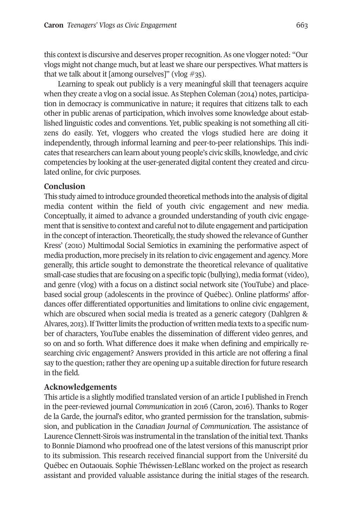this contextis discursive and deserves properrecognition.As one vlogger noted: "Our vlogs might not change much, but at least we share our perspectives. What matters is that we talk about it [among ourselves]" (vlog  $\#35$ ).

Learning to speak out publicly is a very meaningful skill that teenagers acquire when they create a vlog on a social issue. As Stephen Coleman (2014) notes, participation in democracy is communicative in nature; it requires that citizens talk to each other in public arenas of participation, which involves some knowledge about established linguistic codes and conventions. Yet, public speaking is not something all citizens do easily. Yet, vloggers who created the vlogs studied here are doing it independently, through informal learning and peer-to-peer relationships. This indicates that researchers can learn about young people's civic skills, knowledge, and civic competencies by looking at the user-generated digital content they created and circulated online, for civic purposes.

### **Conclusion**

This study aimed to introduce grounded theoretical methods into the analysis of digital media content within the field of youth civic engagement and new media. Conceptually, it aimed to advance a grounded understanding of youth civic engagement that is sensitive to context and careful not to dilute engagement and participation in the concept of interaction. Theoretically, the study showed the relevance of Gunther Kress' (2010) Multimodal Social Semiotics in examining the performative aspect of media production, more precisely in its relation to civic engagement and agency. More generally, this article sought to demonstrate the theoretical relevance of qualitative small-case studies that are focusing on a specific topic (bullying), media format (video), and genre (vlog) with a focus on a distinct social network site (YouTube) and placebased social group (adolescents in the province of Québec). Online platforms' affordances offer differentiated opportunities and limitations to online civic engagement, which are obscured when social media is treated as a generic category (Dahlgren & Alvares, 2013). If Twitter limits the production of written media texts to a specific number of characters, YouTube enables the dissemination of different video genres, and so on and so forth. What difference does it make when defining and empirically researching civic engagement? Answers provided in this article are not offering a final say to the question; rather they are opening up a suitable direction for future research in the field.

# **Acknowledgements**

This article is a slightly modified translated version of an article I published in French in the peer-reviewed journal *Communication* in 2016 (Caron, 2016). Thanks to Roger de la Garde, the journal's editor, who granted permission for the translation, submission, and publication in the *Canadian Journal of Communication*. The assistance of Laurence Clennett-Sirois was instrumental in the translation of the initial text. Thanks to Bonnie Diamond who proofread one of the latest versions of this manuscript prior to its submission. This research received financial support from the Université du Québec en Outaouais. Sophie Théwissen-LeBlanc worked on the project as research assistant and provided valuable assistance during the initial stages of the research.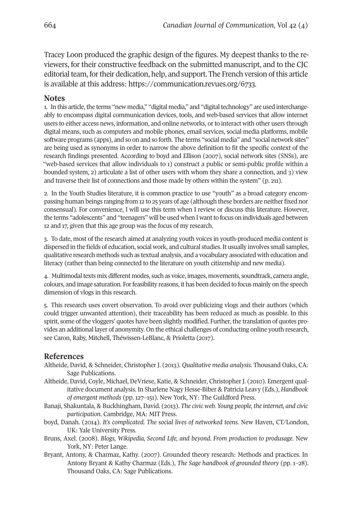Tracey Loon produced the graphic design of the figures. My deepest thanks to the reviewers, for their constructive feedback on the submitted manuscript, and to the CJC editorial team, for their dedication, help, and support. The French version of this article is available at this address: [https://communication.revues.org/6733.](https://communication.revues.org/6733)

### <span id="page-19-1"></span>**Notes**

1. In this article, the terms "new media," "digital media," and "digital technology" are used interchangeably to encompass digital communication devices, tools, and web-based services that allow internet users to either access news, information, and online networks, or to interact with other users through digital means, such as computers and mobile phones, email services, social media platforms, mobile software programs (apps), and so on and so forth. The terms "social media" and "social network sites" are being used as synonyms in order to narrow the above definition to fit the specific context of the research findings presented. According to boyd and Ellison (2007), social network sites (SNSs), are "web-based services that allow individuals to 1) construct a public or semi-public profile within a bounded system, 2) articulate a list of other users with whom they share a connection, and 3) view and traverse their list of connections and those made by others within the system" (p. 211).

<span id="page-19-0"></span>2. In the Youth Studies literature, it is common practice to use "youth" as a broad category encompassing human beings ranging from 12 to 25 years of age (although these borders are neither fixed nor consensual). For convenience, I will use this term when I review or discuss this literature. However, the terms "adolescents" and "teenagers" will be used when I want to focus on individuals aged between 12 and 17, given that this age group was the focus of my research.

<span id="page-19-2"></span>3. To date, most of the research aimed at analyzing youth voices in youth-produced media content is dispersed in the fields of education, social work, and cultural studies.It usually involves small samples, qualitative research methods such as textual analysis, and a vocabulary associated with education and literacy (rather than being connected to the literature on youth citizenship and new media).

<span id="page-19-4"></span>4. Multimodal texts mix different modes, such as voice, images, movements, soundtrack, camera angle, colours, and image saturation. Forfeasibility reasons, it has been decided to focus mainly on the speech dimension of vlogs in this research.

<span id="page-19-3"></span>5. This research uses covert observation. To avoid over publicizing vlogs and their authors (which could trigger unwanted attention), their traceability has been reduced as much as possible. In this spirit, some of the vloggers' quotes have been slightly modified. Further, the translation of quotes provides an additional layer of anonymity. On the ethical challenges of conducting online youth research, see Caron, Raby, Mitchell, Théwissen-LeBlanc, & Prioletta (2017).

### **References**

- Altheide, David, & Schneider, Christopher J. (2013). *Qualitative media analysis*. Thousand Oaks, CA: Sage Publications.
- Altheide, David, Coyle, Michael, DeVriese, Katie, & Schneider, Christopher J. (2010). Emergent qualitative document analysis. In Sharlene Nagy Hesse-Biber & Patricia Leavy (Eds.), *Handbook of emergent methods* (pp. 127–151). New York, NY: The Guildford Press.
- Banaji, Shakuntala, & Buckhingham, David. (2013). *The civic web. Young people, the internet, and civic participation*. Cambridge, MA: MIT Press.
- boyd, Danah. (2014). *It's complicated. The social lives of networked teens*. New Haven, CT/London, UK: Yale University Press.
- Bruns, Axel. (2008). *Blogs, Wikipedia, Second Life, and beyond. From production to produsage*. New York, NY: Peter Lange.
- Bryant, Antony, & Charmaz, Kathy. (2007). Grounded theory research: Methods and practices. In Antony Bryant & Kathy Charmaz (Eds.), *The Sage handbook of grounded theory* (pp. 1–28). Thousand Oaks, CA: Sage Publications.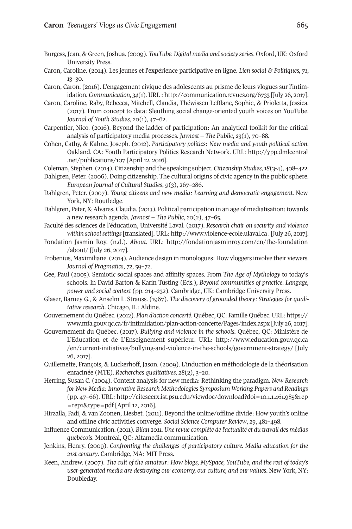- Burgess, Jean, & Green, Joshua. (2009). *YouTube. Digital media and society series*. Oxford, UK: Oxford University Press.
- Caron, Caroline. (2014). Les jeunes et l'expérience participative en ligne. *Lien social & Politiques, 71*, 13–30.
- Caron, Caron. (2016). L'engagement civique des adolescents au prisme de leurs vlogues sur l'intimidation. *Communication, 34*(1). URL : <http://communication.revues.org/6733> [July 26, 2017].
- Caron, Caroline, Raby, Rebecca, Mitchell, Claudia, Théwissen LeBlanc, Sophie, & Prioletta, Jessica. (2017). From concept to data: Sleuthing social change-oriented youth voices on YouTube. *Journal of Youth Studies*, *20*(1), 47–62.
- Carpentier, Nico. (2016). Beyond the ladder of participation: An analytical toolkit for the critical analysis of participatory media processes. *Javnost – The Public*, *23*(1), 70–88.
- Cohen, Cathy, & Kahne, Joseph. (2012). *Participatory politics: New media and youth political action*. Oakland, CA: Youth Participatory Politics Research Network. URL: [http://ypp.dmlcentral](http://ypp.dmlcentral.net/publications/107) [.net/publications/107](http://ypp.dmlcentral.net/publications/107) [April 12, 2016].
- Coleman, Stephen. (2014). Citizenship and the speaking subject. *Citizenship Studies*,*18*(3-4), 408–422.
- Dahlgren, Peter. (2006). Doing citizenship. The cultural origins of civic agency in the public sphere. *European Journal of Cultural Studies*, *9*(3), 267–286.
- Dahlgren, Peter. (2007). *Young citizens and new media: Learning and democratic engagement*. New York, NY: Routledge.
- Dahlgren, Peter, & Alvares, Claudia. (2013). Political participation in an age of mediatisation: towards a new research agenda. *Javnost – The Public*, *20*(2), 47–65.
- Faculté des sciences de l'éducation, Université Laval. (2017). *Research chair on security and violence within schoolsettings*[translated]. URL: <http://www.violence-ecole.ulaval.ca> . [July 26, 2017].
- Fondation Jasmin Roy. (n.d.). *About*. URL: [http://fondationjasminroy.com/en/the-foundation](http://fondationjasminroy.com/en/the-foundation/about/) [/about/](http://fondationjasminroy.com/en/the-foundation/about/) [July 26, 2017].
- Frobenius, Maximiliane. (2014). Audience design in monologues: How vloggers involve their viewers. *Journal of Pragmatics*, *72*, 59–72.
- Gee, Paul (2005). Semiotic social spaces and affinity spaces. From *The Age of Mythology* to today's schools. In David Barton & Karin Tusting (Eds.), *Beyond communities of practice*. *Langage, power and social context* (pp. 214–232). Cambridge, UK: Cambridge University Press.
- Glaser, Barney G., & Anselm L. Strauss. (1967). *The discovery of grounded theory: Strategies for qualitative research*. Chicago, IL: Aldine.
- Gouvernement du Québec. (2012). *Plan d'action concerté*. Québec, QC: Famille Québec. URL: [https://](https://www.mfa.gouv.qc.ca/fr/intimidation/plan-action-concerte/Pages/index.aspx) [www.mfa.gouv.qc.ca/fr/intimidation/plan-action-concerte/Pages/index.aspx](https://www.mfa.gouv.qc.ca/fr/intimidation/plan-action-concerte/Pages/index.aspx) [July 26, 2017].
- Gouvernement du Québec. (2017). *Bullying and violence in the schools*. Québec, QC: Ministère de L'Education et de L'Enseignement supérieur. URL: [http://www.education.gouv.qc.ca](http://www.education.gouv.qc.ca/en/current-initiatives/bullying-and-violence-in-the-schools/government-strategy/) [/en/current-initiatives/bullying-and-violence-in-the-schools/government-strategy/](http://www.education.gouv.qc.ca/en/current-initiatives/bullying-and-violence-in-the-schools/government-strategy/) [July 26, 2017].
- Guillemette, François, & Luckerhoff, Jason. (2009). L'induction en méthodologie de la théorisation enracinée (MTE). *Recherches qualitatives, 28*(2), 3–20.
- Herring, Susan C. (2004). Content analysis for new media: Rethinking the paradigm. *New Research for New Media: Innovative Research Methodologies Symposium Working Papers and Readings* (pp. 47–66). URL: [http://citeseerx.ist.psu.edu/viewdoc/download?doi=10.1.1.461.985&rep](http://citeseerx.ist.psu.edu/viewdoc/download?doi=10.1.1.461.985&rep=rep1&type=pdf)  $=$ rep1&type=pdf [April 12, 2016].
- Hirzalla, Fadi, & van Zoonen, Liesbet. (2011). Beyond the online/offline divide: How youth's online and offline civic activities converge. *Social Science Computer Review*, *29*, 481–498.
- Influence Communication. (2011). *Bilan 2011. Une revue complète de l'actualité et du travail des médias québécois*. Montréal, QC: Altamedia communication.
- Jenkins, Henry. (2009). *Confronting the challenges of participatory culture. Media education for the 21st century*. Cambridge, MA: MIT Press.
- Keen, Andrew. (2007). *The cult of the amateur: How blogs, MySpace, YouTube, and the rest of today's user-generated media are destroying our economy, our culture, and our values*. New York, NY: Doubleday.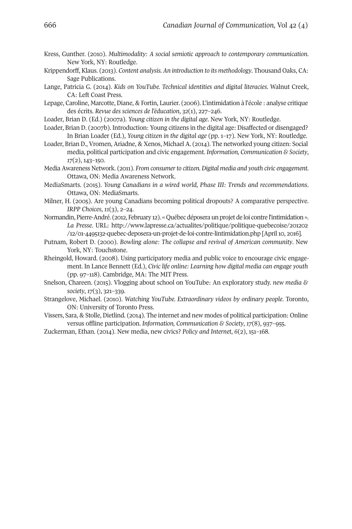- Kress, Gunther. (2010). *Multimodality: A social semiotic approach to contemporary communication*. New York, NY: Routledge.
- Krippendorff, Klaus. (2013). *Content analysis. An introduction to its methodology*. Thousand Oaks, CA: Sage Publications.
- Lange, Patricia G. (2014). *Kids on YouTube. Technical identities and digital literacies*. Walnut Creek, CA: Left Coast Press.
- Lepage, Caroline, Marcotte, Diane, & Fortin, Laurier. (2006). L'intimidation à l'école : analyse critique des écrits. *Revue des sciences de l'éducation*, *32*(1), 227–246.
- Loader, Brian D. (Ed.) (2007a). *Young citizen in the digital age*. New York, NY: Routledge.
- Loader, Brian D. (2007b). Introduction: Young citizens in the digital age: Disaffected or disengaged? In Brian Loader (Ed.), *Young citizen in the digital age* (pp. 1–17). New York, NY: Routledge.
- Loader, Brian D., Vromen, Ariadne, & Xenos, Michael A. (2014). The networked young citizen: Social media, political participation and civic engagement. *Information, Communication & Society*, *17*(2), 143–150.
- Media Awareness Network. (2011). *From consumerto citizen. Digital media and youth civic engagement*. Ottawa, ON: Media Awareness Network.
- MediaSmarts. (2015). *Young Canadians in a wired world, Phase III: Trends and recommendations*. Ottawa, ON: MediaSmarts.
- Milner, H. (2005). Are young Canadians becoming political dropouts? A comparative perspective. *IRPP Choices*, *11*(3), 2–24.
- Normandin, Pierre-André. (2012, February 12). « Québec déposera un projet de loi contre l'intimidation ». *La Presse*. URL: [http://www.lapresse.ca/actualites/politique/politique-quebecoise/201202](http://www.lapresse.ca/actualites/politique/politique-quebecoise/201202/12/01-4495132-quebec-deposera-un-projet-de-loi-contre-lintimidation.php) [/12/01-4495132-quebec-deposera-un-projet-de-loi-contre-lintimidation.php](http://www.lapresse.ca/actualites/politique/politique-quebecoise/201202/12/01-4495132-quebec-deposera-un-projet-de-loi-contre-lintimidation.php) [April 10, 2016].
- Putnam, Robert D. (2000). *Bowling alone: The collapse and revival of American community*. New York, NY: Touchstone.
- Rheingold, Howard. (2008). Using participatory media and public voice to encourage civic engagement. In Lance Bennett (Ed.), *Civic life online: Learning how digital media can engage youth* (pp. 97–118). Cambridge, MA: The MIT Press.
- Snelson, Chareen. (2015). Vlogging about school on YouTube: An exploratory study. *new media & society*, *17*(3), 321–339.
- Strangelove, Michael. (2010). *Watching YouTube. Extraordinary videos by ordinary people*. Toronto, ON: University of Toronto Press.
- Vissers, Sara, & Stolle, Dietlind. (2014). The internet and new modes of political participation: Online versus offline participation. *Information, Communication & Society*, *17*(8), 937–955.
- Zuckerman, Ethan. (2014). New media, new civics? *Policy and Internet*, *6*(2), 151–168.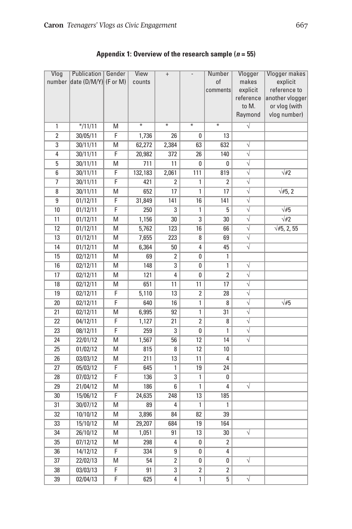| Vlog            | Publication<br>number date (D/M/Y) (F or M) | Gender         | View<br>counts    | $^+$           |                   | Number<br><sub>of</sub><br>comments | Vlogger<br>makes<br>explicit<br>reference<br>to M. | Vlogger makes<br>explicit<br>reference to<br>another vlogger<br>or vlog (with |
|-----------------|---------------------------------------------|----------------|-------------------|----------------|-------------------|-------------------------------------|----------------------------------------------------|-------------------------------------------------------------------------------|
|                 |                                             |                |                   |                |                   |                                     | Raymond                                            | vlog number)                                                                  |
| 1               | $*$ /11/11                                  | M              | $\overline{\ast}$ | ⋇              | $\overline{\ast}$ | $\overline{\ast}$                   | $\overline{\sqrt{} }$                              |                                                                               |
| $\overline{2}$  | 30/05/11                                    | F              | 1,736             | 26             | 0                 | 13                                  |                                                    |                                                                               |
| 3               | 30/11/11                                    | M              | 62,272            | 2,384          | 63                | 632                                 | $\sqrt{}$                                          |                                                                               |
| 4               | 30/11/11                                    | F              | 20,982            | 372            | 26                | 140                                 | $\overline{\sqrt{} }$                              |                                                                               |
| 5               | 30/11/11                                    | M              | 711               | 11             | 0                 | 0                                   | $\overline{\sqrt{ }}$                              |                                                                               |
| 6               | 30/11/11                                    | F              | 132,183           | 2,061          | 111               | 819                                 | $\overline{\sqrt{} }$                              | $\sqrt{2}$                                                                    |
| 7               | 30/11/11                                    | F              | 421               | $\overline{2}$ | 1                 | $\overline{2}$                      | $\overline{\sqrt{ }}$                              |                                                                               |
| 8               | 30/11/11                                    | M              | 652               | 17             | $\overline{1}$    | 17                                  | $\overline{\sqrt{} }$                              | $\sqrt{45}$ , 2                                                               |
| 9               | 01/12/11                                    | $\overline{F}$ | 31,849            | 141            | 16                | 141                                 | $\sqrt{}$                                          |                                                                               |
| 10              | 01/12/11                                    | F              | 250               | 3              | 1                 | 5                                   | $\overline{\sqrt{ }}$                              | $\sqrt{#5}$                                                                   |
| 11              | 01/12/11                                    | M              | 1,156             | 30             | 3                 | 30                                  | $\overline{\sqrt{} }$                              | $\sqrt{2}$                                                                    |
| 12              | 01/12/11                                    | M              | 5,762             | 123            | 16                | 66                                  | $\overline{\sqrt{} }$                              | $\sqrt{45}$ , 2, 55                                                           |
| 13              | 01/12/11                                    | M              | 7,655             | 223            | 8                 | 69                                  | $\sqrt{}$                                          |                                                                               |
| 14              | 01/12/11                                    | M              | 6,364             | 50             | 4                 | 45                                  | $\overline{\sqrt{} }$                              |                                                                               |
| 15              | 02/12/11                                    | M              | 69                | $\overline{2}$ | 0                 | 1                                   |                                                    |                                                                               |
| 16              | 02/12/11                                    | M              | 148               | 3              | 0                 | 1                                   | $\sqrt{}$                                          |                                                                               |
| 17              | 02/12/11                                    | M              | 121               | 4              | 0                 | $\overline{2}$                      | $\overline{\sqrt{ }}$                              |                                                                               |
| 18              | 02/12/11                                    | M              | 651               | 11             | 11                | 17                                  | $\overline{\sqrt{} }$                              |                                                                               |
| 19              | 02/12/11                                    | $\overline{F}$ | 5,110             | 13             | $\overline{2}$    | 28                                  | $\overline{\sqrt{} }$                              |                                                                               |
| 20              | 02/12/11                                    | F              | 640               | 16             | 1                 | 8                                   | $\overline{\sqrt{ }}$                              | $\sqrt{45}$                                                                   |
| 21              | 02/12/11                                    | M              | 6,995             | 92             | $\overline{1}$    | 31                                  | $\overline{\sqrt{} }$                              |                                                                               |
| 22              | 04/12/11                                    | F              | 1,127             | 21             | 2                 | 8                                   | $\overline{\sqrt{} }$                              |                                                                               |
| 23              | 08/12/11                                    | F              | 259               | 3              | 0                 | 1                                   | $\overline{\sqrt{} }$                              |                                                                               |
| 24              | 22/01/12                                    | M              | 1,567             | 56             | 12                | 14                                  | $\overline{\sqrt{ }}$                              |                                                                               |
| 25              | 01/02/12                                    | M              | 815               | 8              | 12                | 10                                  |                                                    |                                                                               |
| 26              | 03/03/12                                    | M              | 211               | 13             | 11                | 4                                   |                                                    |                                                                               |
| 27              | 05/03/12                                    | F              | 645               | 1              | 19                | 24                                  |                                                    |                                                                               |
| 28              | 07/03/12                                    | F              | 136               | 3              | 1                 | 0                                   |                                                    |                                                                               |
| 29              | 21/04/12                                    | M              | 186               | 6              | 1                 | 4                                   | $\sqrt{}$                                          |                                                                               |
| 30              | 15/06/12                                    | F              | 24,635            | 248            | 13                | 185                                 |                                                    |                                                                               |
| 31              | 30/07/12                                    | M              | 89                | 4              | 1                 | 1                                   |                                                    |                                                                               |
| 32              | 10/10/12                                    | M              | 3,896             | 84             | 82                | 39                                  |                                                    |                                                                               |
| 33              | 15/10/12                                    | M              | 29,207            | 684            | 19                | 164                                 |                                                    |                                                                               |
| 34              | 26/10/12                                    | M              | 1,051             | 91             | 13                | 30                                  | $\sqrt{}$                                          |                                                                               |
| 35              | 07/12/12                                    | M              | 298               | 4              | 0                 | 2                                   |                                                    |                                                                               |
| 36              | 14/12/12                                    | F              | 334               | 9              | 0                 | 4                                   |                                                    |                                                                               |
| $\overline{37}$ | 22/02/13                                    | M              | 54                | $\overline{2}$ | 0                 | 0                                   | $\overline{\sqrt{} }$                              |                                                                               |
| 38              | 03/03/13                                    | F              | 91                | 3              | 2                 | 2                                   |                                                    |                                                                               |
| 39              | 02/04/13                                    | $\overline{F}$ | 625               | 4              | 1                 | 5                                   | $\overline{\sqrt{} }$                              |                                                                               |

**Appendix 1: Overview of the research sample (***n* **= 55)**